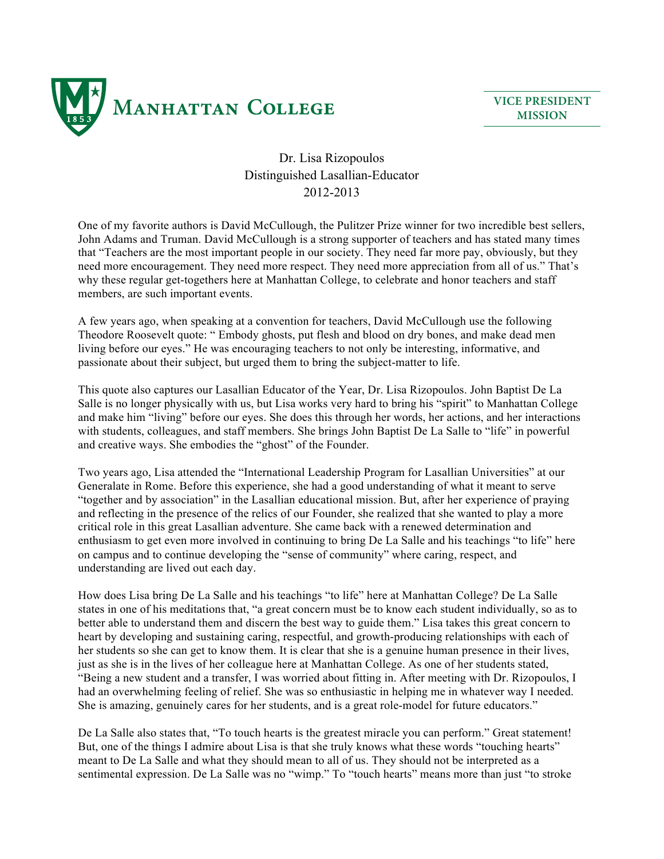

**VICE PRESIDENT MISSION**

## Dr. Lisa Rizopoulos Distinguished Lasallian-Educator 2012-2013

One of my favorite authors is David McCullough, the Pulitzer Prize winner for two incredible best sellers, John Adams and Truman. David McCullough is a strong supporter of teachers and has stated many times that "Teachers are the most important people in our society. They need far more pay, obviously, but they need more encouragement. They need more respect. They need more appreciation from all of us." That's why these regular get-togethers here at Manhattan College, to celebrate and honor teachers and staff members, are such important events.

A few years ago, when speaking at a convention for teachers, David McCullough use the following Theodore Roosevelt quote: " Embody ghosts, put flesh and blood on dry bones, and make dead men living before our eyes." He was encouraging teachers to not only be interesting, informative, and passionate about their subject, but urged them to bring the subject-matter to life.

This quote also captures our Lasallian Educator of the Year, Dr. Lisa Rizopoulos. John Baptist De La Salle is no longer physically with us, but Lisa works very hard to bring his "spirit" to Manhattan College and make him "living" before our eyes. She does this through her words, her actions, and her interactions with students, colleagues, and staff members. She brings John Baptist De La Salle to "life" in powerful and creative ways. She embodies the "ghost" of the Founder.

Two years ago, Lisa attended the "International Leadership Program for Lasallian Universities" at our Generalate in Rome. Before this experience, she had a good understanding of what it meant to serve "together and by association" in the Lasallian educational mission. But, after her experience of praying and reflecting in the presence of the relics of our Founder, she realized that she wanted to play a more critical role in this great Lasallian adventure. She came back with a renewed determination and enthusiasm to get even more involved in continuing to bring De La Salle and his teachings "to life" here on campus and to continue developing the "sense of community" where caring, respect, and understanding are lived out each day.

How does Lisa bring De La Salle and his teachings "to life" here at Manhattan College? De La Salle states in one of his meditations that, "a great concern must be to know each student individually, so as to better able to understand them and discern the best way to guide them." Lisa takes this great concern to heart by developing and sustaining caring, respectful, and growth-producing relationships with each of her students so she can get to know them. It is clear that she is a genuine human presence in their lives, just as she is in the lives of her colleague here at Manhattan College. As one of her students stated, "Being a new student and a transfer, I was worried about fitting in. After meeting with Dr. Rizopoulos, I had an overwhelming feeling of relief. She was so enthusiastic in helping me in whatever way I needed. She is amazing, genuinely cares for her students, and is a great role-model for future educators."

De La Salle also states that, "To touch hearts is the greatest miracle you can perform." Great statement! But, one of the things I admire about Lisa is that she truly knows what these words "touching hearts" meant to De La Salle and what they should mean to all of us. They should not be interpreted as a sentimental expression. De La Salle was no "wimp." To "touch hearts" means more than just "to stroke